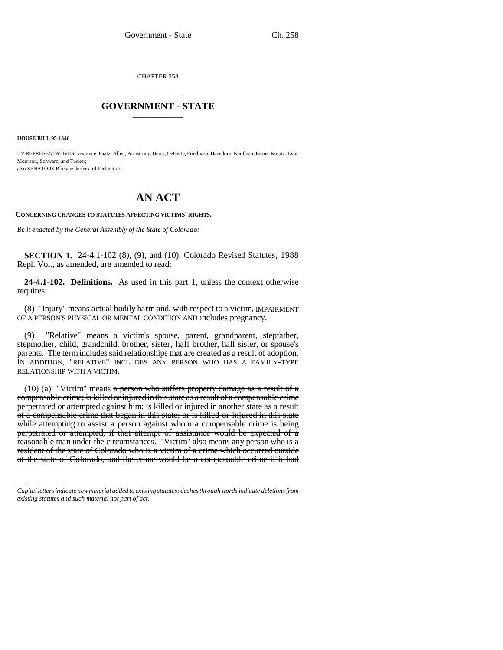CHAPTER 258

## \_\_\_\_\_\_\_\_\_\_\_\_\_\_\_ **GOVERNMENT - STATE** \_\_\_\_\_\_\_\_\_\_\_\_\_\_\_

**HOUSE BILL 95-1346**

BY REPRESENTATIVES Lawrence, Faatz, Allen, Armstrong, Berry, DeGette, Friednash, Hagedorn, Kaufman, Kerns, Kreutz, Lyle, Morrison, Schwarz, and Tucker; also SENATORS Blickensderfer and Perlmutter.

# **AN ACT**

**CONCERNING CHANGES TO STATUTES AFFECTING VICTIMS' RIGHTS.**

*Be it enacted by the General Assembly of the State of Colorado:*

**SECTION 1.** 24-4.1-102 (8), (9), and (10), Colorado Revised Statutes, 1988 Repl. Vol., as amended, are amended to read:

**24-4.1-102. Definitions.** As used in this part 1, unless the context otherwise requires:

(8) "Injury" means actual bodily harm and, with respect to a victim, IMPAIRMENT OF A PERSON'S PHYSICAL OR MENTAL CONDITION AND includes pregnancy.

(9) "Relative" means a victim's spouse, parent, grandparent, stepfather, stepmother, child, grandchild, brother, sister, half brother, half sister, or spouse's parents. The term includes said relationships that are created as a result of adoption. IN ADDITION, "RELATIVE" INCLUDES ANY PERSON WHO HAS A FAMILY-TYPE RELATIONSHIP WITH A VICTIM.

or a compensable crime that began in this state, or is knied or injured in this state<br>while attempting to assist a person against whom a compensable crime is being (10) (a) "Victim" means  $\alpha$  person who suffers property damage as a result of  $\alpha$ compensable crime; is killed or injured in this state as a result of a compensable crime perpetrated or attempted against him; is killed or injured in another state as a result of a compensable crime that began in this state; or is killed or injured in this state perpetrated or attempted, if that attempt of assistance would be expected of a reasonable man under the circumstances. "Victim" also means any person who is a resident of the state of Colorado who is a victim of a crime which occurred outside of the state of Colorado, and the crime would be a compensable crime if it had

*Capital letters indicate new material added to existing statutes; dashes through words indicate deletions from existing statutes and such material not part of act.*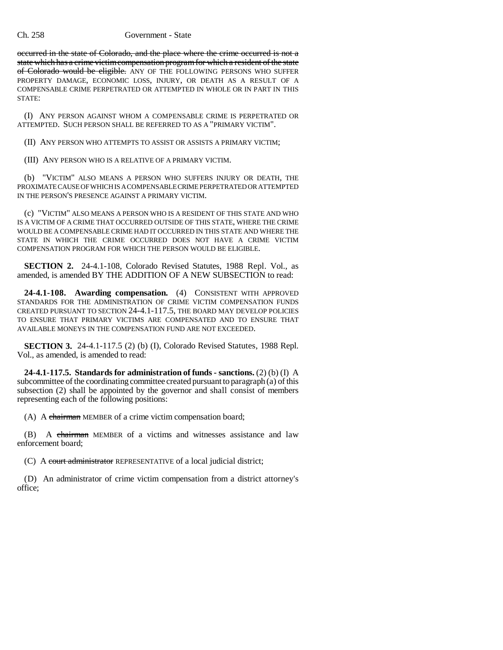### Ch. 258 Government - State

occurred in the state of Colorado, and the place where the crime occurred is not a state which has a crime victim compensation program for which a resident of the state of Colorado would be eligible. ANY OF THE FOLLOWING PERSONS WHO SUFFER PROPERTY DAMAGE, ECONOMIC LOSS, INJURY, OR DEATH AS A RESULT OF A COMPENSABLE CRIME PERPETRATED OR ATTEMPTED IN WHOLE OR IN PART IN THIS STATE:

(I) ANY PERSON AGAINST WHOM A COMPENSABLE CRIME IS PERPETRATED OR ATTEMPTED. SUCH PERSON SHALL BE REFERRED TO AS A "PRIMARY VICTIM".

(II) ANY PERSON WHO ATTEMPTS TO ASSIST OR ASSISTS A PRIMARY VICTIM;

(III) ANY PERSON WHO IS A RELATIVE OF A PRIMARY VICTIM.

(b) "VICTIM" ALSO MEANS A PERSON WHO SUFFERS INJURY OR DEATH, THE PROXIMATE CAUSE OF WHICH IS A COMPENSABLE CRIME PERPETRATED OR ATTEMPTED IN THE PERSON'S PRESENCE AGAINST A PRIMARY VICTIM.

(c) "VICTIM" ALSO MEANS A PERSON WHO IS A RESIDENT OF THIS STATE AND WHO IS A VICTIM OF A CRIME THAT OCCURRED OUTSIDE OF THIS STATE, WHERE THE CRIME WOULD BE A COMPENSABLE CRIME HAD IT OCCURRED IN THIS STATE AND WHERE THE STATE IN WHICH THE CRIME OCCURRED DOES NOT HAVE A CRIME VICTIM COMPENSATION PROGRAM FOR WHICH THE PERSON WOULD BE ELIGIBLE.

**SECTION 2.** 24-4.1-108, Colorado Revised Statutes, 1988 Repl. Vol., as amended, is amended BY THE ADDITION OF A NEW SUBSECTION to read:

**24-4.1-108. Awarding compensation.** (4) CONSISTENT WITH APPROVED STANDARDS FOR THE ADMINISTRATION OF CRIME VICTIM COMPENSATION FUNDS CREATED PURSUANT TO SECTION 24-4.1-117.5, THE BOARD MAY DEVELOP POLICIES TO ENSURE THAT PRIMARY VICTIMS ARE COMPENSATED AND TO ENSURE THAT AVAILABLE MONEYS IN THE COMPENSATION FUND ARE NOT EXCEEDED.

**SECTION 3.** 24-4.1-117.5 (2) (b) (I), Colorado Revised Statutes, 1988 Repl. Vol., as amended, is amended to read:

**24-4.1-117.5. Standards for administration of funds - sanctions.** (2) (b) (I) A subcommittee of the coordinating committee created pursuant to paragraph (a) of this subsection (2) shall be appointed by the governor and shall consist of members representing each of the following positions:

(A) A chairman MEMBER of a crime victim compensation board;

(B) A chairman MEMBER of a victims and witnesses assistance and law enforcement board;

(C) A court administrator REPRESENTATIVE of a local judicial district;

(D) An administrator of crime victim compensation from a district attorney's office;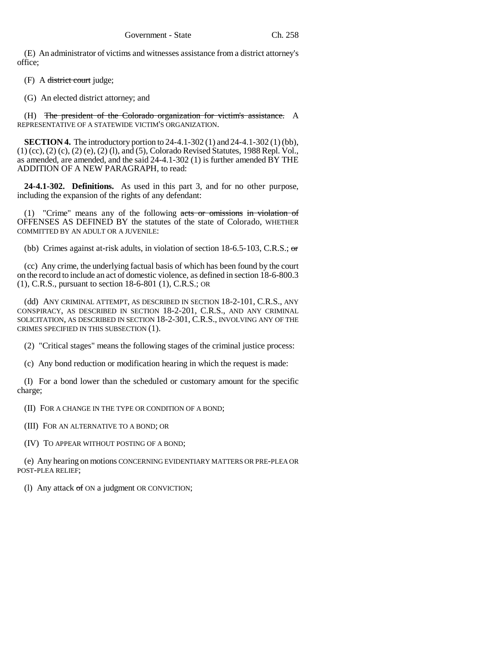(E) An administrator of victims and witnesses assistance from a district attorney's office;

(F) A district court judge;

(G) An elected district attorney; and

(H) The president of the Colorado organization for victim's assistance. A REPRESENTATIVE OF A STATEWIDE VICTIM'S ORGANIZATION.

**SECTION 4.** The introductory portion to 24-4.1-302 (1) and 24-4.1-302 (1) (bb), (1) (cc), (2) (c), (2) (e), (2) (l), and (5), Colorado Revised Statutes, 1988 Repl. Vol., as amended, are amended, and the said 24-4.1-302 (1) is further amended BY THE ADDITION OF A NEW PARAGRAPH, to read:

**24-4.1-302. Definitions.** As used in this part 3, and for no other purpose, including the expansion of the rights of any defendant:

(1) "Crime" means any of the following acts or omissions in violation of OFFENSES AS DEFINED BY the statutes of the state of Colorado, WHETHER COMMITTED BY AN ADULT OR A JUVENILE:

(bb) Crimes against at-risk adults, in violation of section 18-6.5-103, C.R.S.; or

(cc) Any crime, the underlying factual basis of which has been found by the court on the record to include an act of domestic violence, as defined in section 18-6-800.3 (1), C.R.S., pursuant to section 18-6-801 (1), C.R.S.; OR

(dd) ANY CRIMINAL ATTEMPT, AS DESCRIBED IN SECTION 18-2-101, C.R.S., ANY CONSPIRACY, AS DESCRIBED IN SECTION 18-2-201, C.R.S., AND ANY CRIMINAL SOLICITATION, AS DESCRIBED IN SECTION 18-2-301, C.R.S., INVOLVING ANY OF THE CRIMES SPECIFIED IN THIS SUBSECTION (1).

(2) "Critical stages" means the following stages of the criminal justice process:

(c) Any bond reduction or modification hearing in which the request is made:

(I) For a bond lower than the scheduled or customary amount for the specific charge;

(II) FOR A CHANGE IN THE TYPE OR CONDITION OF A BOND;

(III) FOR AN ALTERNATIVE TO A BOND; OR

(IV) TO APPEAR WITHOUT POSTING OF A BOND;

(e) Any hearing on motions CONCERNING EVIDENTIARY MATTERS OR PRE-PLEA OR POST-PLEA RELIEF;

(l) Any attack of ON a judgment OR CONVICTION;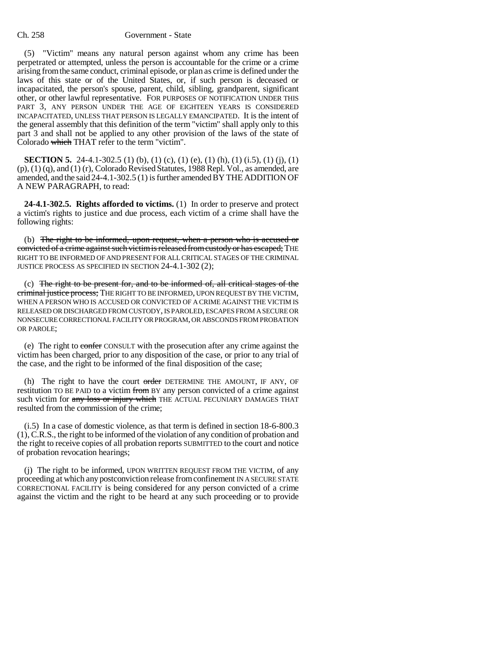### Ch. 258 Government - State

(5) "Victim" means any natural person against whom any crime has been perpetrated or attempted, unless the person is accountable for the crime or a crime arising from the same conduct, criminal episode, or plan as crime is defined under the laws of this state or of the United States, or, if such person is deceased or incapacitated, the person's spouse, parent, child, sibling, grandparent, significant other, or other lawful representative. FOR PURPOSES OF NOTIFICATION UNDER THIS PART 3, ANY PERSON UNDER THE AGE OF EIGHTEEN YEARS IS CONSIDERED INCAPACITATED, UNLESS THAT PERSON IS LEGALLY EMANCIPATED. It is the intent of the general assembly that this definition of the term "victim" shall apply only to this part 3 and shall not be applied to any other provision of the laws of the state of Colorado which THAT refer to the term "victim".

**SECTION 5.** 24-4.1-302.5 (1) (b), (1) (c), (1) (e), (1) (h), (1) (i.5), (1) (i), (1) (p), (1) (q), and (1) (r), Colorado Revised Statutes, 1988 Repl. Vol., as amended, are amended, and the said 24-4.1-302.5 (1) is further amended BY THE ADDITION OF A NEW PARAGRAPH, to read:

**24-4.1-302.5. Rights afforded to victims.** (1) In order to preserve and protect a victim's rights to justice and due process, each victim of a crime shall have the following rights:

(b) The right to be informed, upon request, when a person who is accused or convicted of a crime against such victim is released from custody or has escaped; THE RIGHT TO BE INFORMED OF AND PRESENT FOR ALL CRITICAL STAGES OF THE CRIMINAL JUSTICE PROCESS AS SPECIFIED IN SECTION 24-4.1-302 (2);

(c) The right to be present for, and to be informed of, all critical stages of the criminal justice process; THE RIGHT TO BE INFORMED, UPON REQUEST BY THE VICTIM, WHEN A PERSON WHO IS ACCUSED OR CONVICTED OF A CRIME AGAINST THE VICTIM IS RELEASED OR DISCHARGED FROM CUSTODY, IS PAROLED, ESCAPES FROM A SECURE OR NONSECURE CORRECTIONAL FACILITY OR PROGRAM, OR ABSCONDS FROM PROBATION OR PAROLE;

(e) The right to confer CONSULT with the prosecution after any crime against the victim has been charged, prior to any disposition of the case, or prior to any trial of the case, and the right to be informed of the final disposition of the case;

(h) The right to have the court order DETERMINE THE AMOUNT, IF ANY, OF restitution TO BE PAID to a victim from BY any person convicted of a crime against such victim for any loss or injury which THE ACTUAL PECUNIARY DAMAGES THAT resulted from the commission of the crime;

(i.5) In a case of domestic violence, as that term is defined in section 18-6-800.3 (1), C.R.S., the right to be informed of the violation of any condition of probation and the right to receive copies of all probation reports SUBMITTED to the court and notice of probation revocation hearings;

(j) The right to be informed, UPON WRITTEN REQUEST FROM THE VICTIM, of any proceeding at which any postconviction release from confinement IN A SECURE STATE CORRECTIONAL FACILITY is being considered for any person convicted of a crime against the victim and the right to be heard at any such proceeding or to provide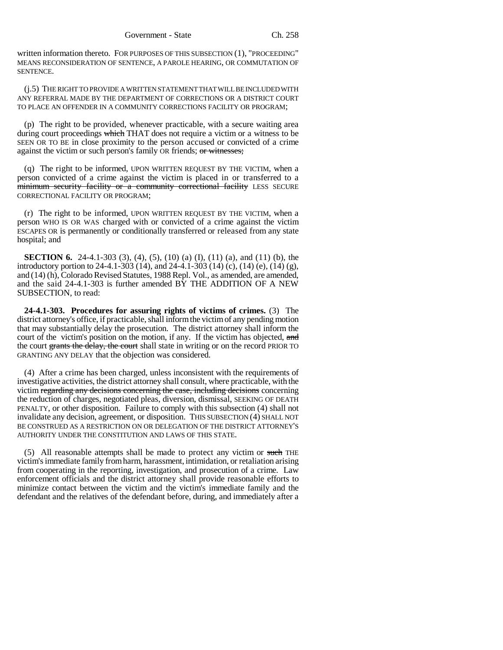written information thereto. FOR PURPOSES OF THIS SUBSECTION (1), "PROCEEDING" MEANS RECONSIDERATION OF SENTENCE, A PAROLE HEARING, OR COMMUTATION OF SENTENCE.

(j.5) THE RIGHT TO PROVIDE A WRITTEN STATEMENT THAT WILL BE INCLUDED WITH ANY REFERRAL MADE BY THE DEPARTMENT OF CORRECTIONS OR A DISTRICT COURT TO PLACE AN OFFENDER IN A COMMUNITY CORRECTIONS FACILITY OR PROGRAM;

(p) The right to be provided, whenever practicable, with a secure waiting area during court proceedings which THAT does not require a victim or a witness to be SEEN OR TO BE in close proximity to the person accused or convicted of a crime against the victim or such person's family OR friends; or witnesses;

(q) The right to be informed, UPON WRITTEN REQUEST BY THE VICTIM, when a person convicted of a crime against the victim is placed in or transferred to a minimum security facility or a community correctional facility LESS SECURE CORRECTIONAL FACILITY OR PROGRAM;

(r) The right to be informed, UPON WRITTEN REQUEST BY THE VICTIM, when a person WHO IS OR WAS charged with or convicted of a crime against the victim ESCAPES OR is permanently or conditionally transferred or released from any state hospital; and

**SECTION 6.** 24-4.1-303 (3), (4), (5), (10) (a) (I), (11) (a), and (11) (b), the introductory portion to 24-4.1-303 (14), and 24-4.1-303 (14) (c), (14) (e), (14) (g), and (14) (h), Colorado Revised Statutes, 1988 Repl. Vol., as amended, are amended, and the said 24-4.1-303 is further amended BY THE ADDITION OF A NEW SUBSECTION, to read:

**24-4.1-303. Procedures for assuring rights of victims of crimes.** (3) The district attorney's office, if practicable, shall inform the victim of any pending motion that may substantially delay the prosecution. The district attorney shall inform the court of the victim's position on the motion, if any. If the victim has objected, and the court grants the delay, the court shall state in writing or on the record PRIOR TO GRANTING ANY DELAY that the objection was considered.

(4) After a crime has been charged, unless inconsistent with the requirements of investigative activities, the district attorney shall consult, where practicable, with the victim regarding any decisions concerning the case, including decisions concerning the reduction of charges, negotiated pleas, diversion, dismissal, SEEKING OF DEATH PENALTY, or other disposition. Failure to comply with this subsection (4) shall not invalidate any decision, agreement, or disposition. THIS SUBSECTION (4) SHALL NOT BE CONSTRUED AS A RESTRICTION ON OR DELEGATION OF THE DISTRICT ATTORNEY'S AUTHORITY UNDER THE CONSTITUTION AND LAWS OF THIS STATE.

(5) All reasonable attempts shall be made to protect any victim or such THE victim's immediate family from harm, harassment, intimidation, or retaliation arising from cooperating in the reporting, investigation, and prosecution of a crime. Law enforcement officials and the district attorney shall provide reasonable efforts to minimize contact between the victim and the victim's immediate family and the defendant and the relatives of the defendant before, during, and immediately after a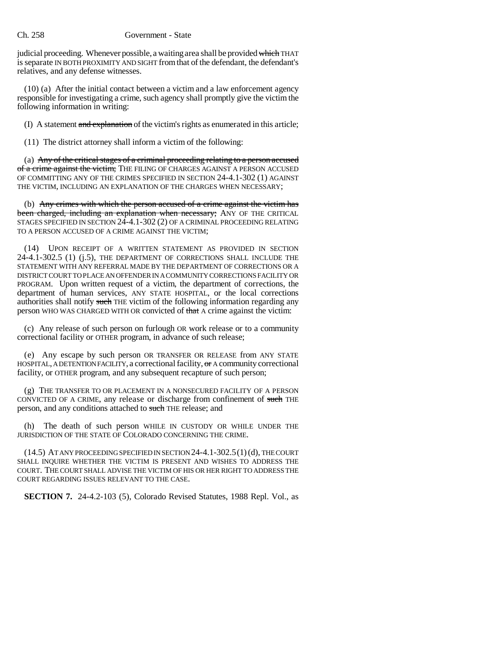#### Ch. 258 Government - State

judicial proceeding. Whenever possible, a waiting area shall be provided which THAT is separate IN BOTH PROXIMITY AND SIGHT from that of the defendant, the defendant's relatives, and any defense witnesses.

(10) (a) After the initial contact between a victim and a law enforcement agency responsible for investigating a crime, such agency shall promptly give the victim the following information in writing:

(I) A statement and explanation of the victim's rights as enumerated in this article;

(11) The district attorney shall inform a victim of the following:

(a) Any of the critical stages of a criminal proceeding relating to a person accused of a crime against the victim; THE FILING OF CHARGES AGAINST A PERSON ACCUSED OF COMMITTING ANY OF THE CRIMES SPECIFIED IN SECTION 24-4.1-302 (1) AGAINST THE VICTIM, INCLUDING AN EXPLANATION OF THE CHARGES WHEN NECESSARY;

(b) Any crimes with which the person accused of a crime against the victim has been charged, including an explanation when necessary; ANY OF THE CRITICAL STAGES SPECIFIED IN SECTION 24-4.1-302 (2) OF A CRIMINAL PROCEEDING RELATING TO A PERSON ACCUSED OF A CRIME AGAINST THE VICTIM;

(14) UPON RECEIPT OF A WRITTEN STATEMENT AS PROVIDED IN SECTION 24-4.1-302.5 (1) (j.5), THE DEPARTMENT OF CORRECTIONS SHALL INCLUDE THE STATEMENT WITH ANY REFERRAL MADE BY THE DEPARTMENT OF CORRECTIONS OR A DISTRICT COURT TO PLACE AN OFFENDER IN A COMMUNITY CORRECTIONS FACILITY OR PROGRAM. Upon written request of a victim, the department of corrections, the department of human services, ANY STATE HOSPITAL, or the local corrections authorities shall notify such THE victim of the following information regarding any person WHO WAS CHARGED WITH OR convicted of that A crime against the victim:

(c) Any release of such person on furlough OR work release or to a community correctional facility or OTHER program, in advance of such release;

(e) Any escape by such person OR TRANSFER OR RELEASE from ANY STATE HOSPITAL, A DETENTION FACILITY, a correctional facility, or A community correctional facility, or OTHER program, and any subsequent recapture of such person;

(g) THE TRANSFER TO OR PLACEMENT IN A NONSECURED FACILITY OF A PERSON CONVICTED OF A CRIME, any release or discharge from confinement of such THE person, and any conditions attached to such THE release; and

(h) The death of such person WHILE IN CUSTODY OR WHILE UNDER THE JURISDICTION OF THE STATE OF COLORADO CONCERNING THE CRIME.

 $(14.5)$  AT ANY PROCEEDING SPECIFIED IN SECTION 24-4.1-302.5(1) (d), THE COURT SHALL INQUIRE WHETHER THE VICTIM IS PRESENT AND WISHES TO ADDRESS THE COURT. THE COURT SHALL ADVISE THE VICTIM OF HIS OR HER RIGHT TO ADDRESS THE COURT REGARDING ISSUES RELEVANT TO THE CASE.

**SECTION 7.** 24-4.2-103 (5), Colorado Revised Statutes, 1988 Repl. Vol., as